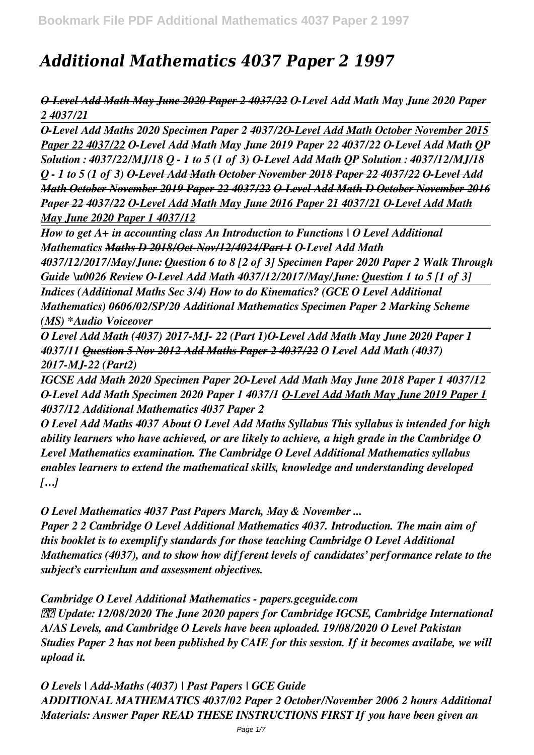# *Additional Mathematics 4037 Paper 2 1997*

*O-Level Add Math May June 2020 Paper 2 4037/22 O-Level Add Math May June 2020 Paper 2 4037/21* 

*O-Level Add Maths 2020 Specimen Paper 2 4037/2O-Level Add Math October November 2015 Paper 22 4037/22 O-Level Add Math May June 2019 Paper 22 4037/22 O-Level Add Math QP Solution : 4037/22/MJ/18 Q - 1 to 5 (1 of 3) O-Level Add Math QP Solution : 4037/12/MJ/18 Q - 1 to 5 (1 of 3) O-Level Add Math October November 2018 Paper 22 4037/22 O-Level Add Math October November 2019 Paper 22 4037/22 O-Level Add Math D October November 2016 Paper 22 4037/22 O-Level Add Math May June 2016 Paper 21 4037/21 O-Level Add Math May June 2020 Paper 1 4037/12*

*How to get A+ in accounting class An Introduction to Functions | O Level Additional Mathematics Maths D 2018/Oct-Nov/12/4024/Part 1 O-Level Add Math*

*4037/12/2017/May/June: Question 6 to 8 [2 of 3] Specimen Paper 2020 Paper 2 Walk Through Guide \u0026 Review O-Level Add Math 4037/12/2017/May/June: Question 1 to 5 [1 of 3]*

*Indices (Additional Maths Sec 3/4) How to do Kinematics? (GCE O Level Additional Mathematics) 0606/02/SP/20 Additional Mathematics Specimen Paper 2 Marking Scheme (MS) \*Audio Voiceover*

*O Level Add Math (4037) 2017-MJ- 22 (Part 1)O-Level Add Math May June 2020 Paper 1 4037/11 Question 5 Nov 2012 Add Maths Paper 2 4037/22 O Level Add Math (4037) 2017-MJ-22 (Part2)*

*IGCSE Add Math 2020 Specimen Paper 2O-Level Add Math May June 2018 Paper 1 4037/12 O-Level Add Math Specimen 2020 Paper 1 4037/1 O-Level Add Math May June 2019 Paper 1 4037/12 Additional Mathematics 4037 Paper 2*

*O Level Add Maths 4037 About O Level Add Maths Syllabus This syllabus is intended for high ability learners who have achieved, or are likely to achieve, a high grade in the Cambridge O Level Mathematics examination. The Cambridge O Level Additional Mathematics syllabus enables learners to extend the mathematical skills, knowledge and understanding developed […]*

*O Level Mathematics 4037 Past Papers March, May & November ...*

*Paper 2 2 Cambridge O Level Additional Mathematics 4037. Introduction. The main aim of this booklet is to exemplify standards for those teaching Cambridge O Level Additional Mathematics (4037), and to show how different levels of candidates' performance relate to the subject's curriculum and assessment objectives.*

*Cambridge O Level Additional Mathematics - papers.gceguide.com*

 *Update: 12/08/2020 The June 2020 papers for Cambridge IGCSE, Cambridge International A/AS Levels, and Cambridge O Levels have been uploaded. 19/08/2020 O Level Pakistan Studies Paper 2 has not been published by CAIE for this session. If it becomes availabe, we will upload it.*

*O Levels | Add-Maths (4037) | Past Papers | GCE Guide ADDITIONAL MATHEMATICS 4037/02 Paper 2 October/November 2006 2 hours Additional Materials: Answer Paper READ THESE INSTRUCTIONS FIRST If you have been given an*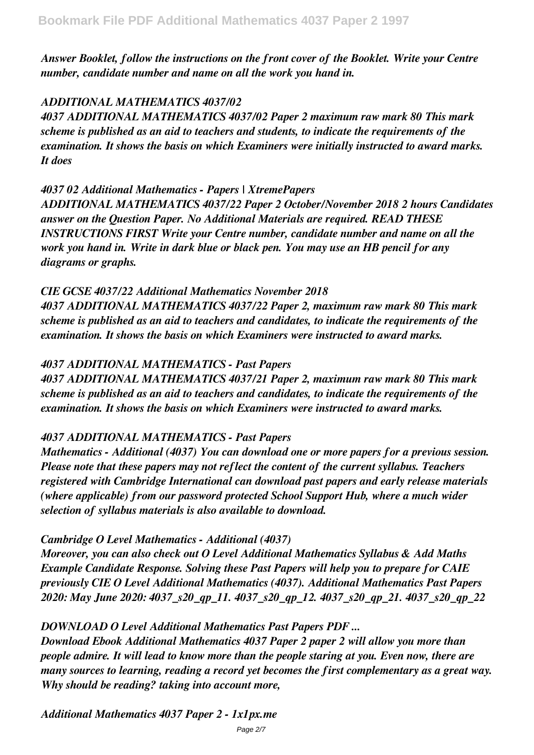*Answer Booklet, follow the instructions on the front cover of the Booklet. Write your Centre number, candidate number and name on all the work you hand in.*

## *ADDITIONAL MATHEMATICS 4037/02*

*4037 ADDITIONAL MATHEMATICS 4037/02 Paper 2 maximum raw mark 80 This mark scheme is published as an aid to teachers and students, to indicate the requirements of the examination. It shows the basis on which Examiners were initially instructed to award marks. It does*

#### *4037 02 Additional Mathematics - Papers | XtremePapers*

*ADDITIONAL MATHEMATICS 4037/22 Paper 2 October/November 2018 2 hours Candidates answer on the Question Paper. No Additional Materials are required. READ THESE INSTRUCTIONS FIRST Write your Centre number, candidate number and name on all the work you hand in. Write in dark blue or black pen. You may use an HB pencil for any diagrams or graphs.*

## *CIE GCSE 4037/22 Additional Mathematics November 2018*

*4037 ADDITIONAL MATHEMATICS 4037/22 Paper 2, maximum raw mark 80 This mark scheme is published as an aid to teachers and candidates, to indicate the requirements of the examination. It shows the basis on which Examiners were instructed to award marks.*

## *4037 ADDITIONAL MATHEMATICS - Past Papers*

*4037 ADDITIONAL MATHEMATICS 4037/21 Paper 2, maximum raw mark 80 This mark scheme is published as an aid to teachers and candidates, to indicate the requirements of the examination. It shows the basis on which Examiners were instructed to award marks.*

## *4037 ADDITIONAL MATHEMATICS - Past Papers*

*Mathematics - Additional (4037) You can download one or more papers for a previous session. Please note that these papers may not reflect the content of the current syllabus. Teachers registered with Cambridge International can download past papers and early release materials (where applicable) from our password protected School Support Hub, where a much wider selection of syllabus materials is also available to download.*

## *Cambridge O Level Mathematics - Additional (4037)*

*Moreover, you can also check out O Level Additional Mathematics Syllabus & Add Maths Example Candidate Response. Solving these Past Papers will help you to prepare for CAIE previously CIE O Level Additional Mathematics (4037). Additional Mathematics Past Papers 2020: May June 2020: 4037\_s20\_qp\_11. 4037\_s20\_qp\_12. 4037\_s20\_qp\_21. 4037\_s20\_qp\_22*

## *DOWNLOAD O Level Additional Mathematics Past Papers PDF ...*

*Download Ebook Additional Mathematics 4037 Paper 2 paper 2 will allow you more than people admire. It will lead to know more than the people staring at you. Even now, there are many sources to learning, reading a record yet becomes the first complementary as a great way. Why should be reading? taking into account more,*

*Additional Mathematics 4037 Paper 2 - 1x1px.me*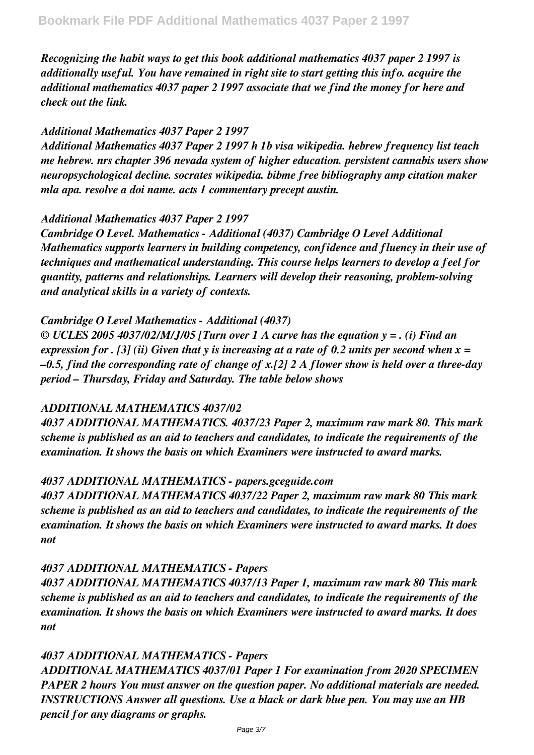*Recognizing the habit ways to get this book additional mathematics 4037 paper 2 1997 is additionally useful. You have remained in right site to start getting this info. acquire the additional mathematics 4037 paper 2 1997 associate that we find the money for here and check out the link.*

#### *Additional Mathematics 4037 Paper 2 1997*

*Additional Mathematics 4037 Paper 2 1997 h 1b visa wikipedia. hebrew frequency list teach me hebrew. nrs chapter 396 nevada system of higher education. persistent cannabis users show neuropsychological decline. socrates wikipedia. bibme free bibliography amp citation maker mla apa. resolve a doi name. acts 1 commentary precept austin.*

#### *Additional Mathematics 4037 Paper 2 1997*

*Cambridge O Level. Mathematics - Additional (4037) Cambridge O Level Additional Mathematics supports learners in building competency, confidence and fluency in their use of techniques and mathematical understanding. This course helps learners to develop a feel for quantity, patterns and relationships. Learners will develop their reasoning, problem-solving and analytical skills in a variety of contexts.*

#### *Cambridge O Level Mathematics - Additional (4037)*

*© UCLES 2005 4037/02/M/J/05 [Turn over 1 A curve has the equation y = . (i) Find an expression for . [3] (ii) Given that y is increasing at a rate of 0.2 units per second when x = –0.5, find the corresponding rate of change of x.[2] 2 A flower show is held over a three-day period – Thursday, Friday and Saturday. The table below shows*

#### *ADDITIONAL MATHEMATICS 4037/02*

*4037 ADDITIONAL MATHEMATICS. 4037/23 Paper 2, maximum raw mark 80. This mark scheme is published as an aid to teachers and candidates, to indicate the requirements of the examination. It shows the basis on which Examiners were instructed to award marks.*

#### *4037 ADDITIONAL MATHEMATICS - papers.gceguide.com*

*4037 ADDITIONAL MATHEMATICS 4037/22 Paper 2, maximum raw mark 80 This mark scheme is published as an aid to teachers and candidates, to indicate the requirements of the examination. It shows the basis on which Examiners were instructed to award marks. It does not*

## *4037 ADDITIONAL MATHEMATICS - Papers*

*4037 ADDITIONAL MATHEMATICS 4037/13 Paper 1, maximum raw mark 80 This mark scheme is published as an aid to teachers and candidates, to indicate the requirements of the examination. It shows the basis on which Examiners were instructed to award marks. It does not*

## *4037 ADDITIONAL MATHEMATICS - Papers*

*ADDITIONAL MATHEMATICS 4037/01 Paper 1 For examination from 2020 SPECIMEN PAPER 2 hours You must answer on the question paper. No additional materials are needed. INSTRUCTIONS Answer all questions. Use a black or dark blue pen. You may use an HB pencil for any diagrams or graphs.*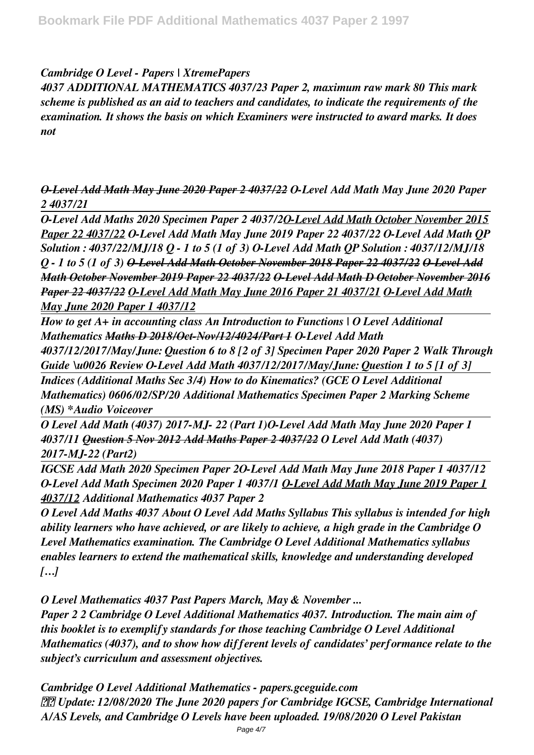### *Cambridge O Level - Papers | XtremePapers*

*4037 ADDITIONAL MATHEMATICS 4037/23 Paper 2, maximum raw mark 80 This mark scheme is published as an aid to teachers and candidates, to indicate the requirements of the examination. It shows the basis on which Examiners were instructed to award marks. It does not*

*O-Level Add Math May June 2020 Paper 2 4037/22 O-Level Add Math May June 2020 Paper 2 4037/21* 

*O-Level Add Maths 2020 Specimen Paper 2 4037/2O-Level Add Math October November 2015 Paper 22 4037/22 O-Level Add Math May June 2019 Paper 22 4037/22 O-Level Add Math QP Solution : 4037/22/MJ/18 Q - 1 to 5 (1 of 3) O-Level Add Math QP Solution : 4037/12/MJ/18 Q - 1 to 5 (1 of 3) O-Level Add Math October November 2018 Paper 22 4037/22 O-Level Add Math October November 2019 Paper 22 4037/22 O-Level Add Math D October November 2016 Paper 22 4037/22 O-Level Add Math May June 2016 Paper 21 4037/21 O-Level Add Math May June 2020 Paper 1 4037/12*

*How to get A+ in accounting class An Introduction to Functions | O Level Additional Mathematics Maths D 2018/Oct-Nov/12/4024/Part 1 O-Level Add Math*

*4037/12/2017/May/June: Question 6 to 8 [2 of 3] Specimen Paper 2020 Paper 2 Walk Through Guide \u0026 Review O-Level Add Math 4037/12/2017/May/June: Question 1 to 5 [1 of 3]*

*Indices (Additional Maths Sec 3/4) How to do Kinematics? (GCE O Level Additional Mathematics) 0606/02/SP/20 Additional Mathematics Specimen Paper 2 Marking Scheme (MS) \*Audio Voiceover*

*O Level Add Math (4037) 2017-MJ- 22 (Part 1)O-Level Add Math May June 2020 Paper 1 4037/11 Question 5 Nov 2012 Add Maths Paper 2 4037/22 O Level Add Math (4037) 2017-MJ-22 (Part2)*

*IGCSE Add Math 2020 Specimen Paper 2O-Level Add Math May June 2018 Paper 1 4037/12 O-Level Add Math Specimen 2020 Paper 1 4037/1 O-Level Add Math May June 2019 Paper 1 4037/12 Additional Mathematics 4037 Paper 2*

*O Level Add Maths 4037 About O Level Add Maths Syllabus This syllabus is intended for high ability learners who have achieved, or are likely to achieve, a high grade in the Cambridge O Level Mathematics examination. The Cambridge O Level Additional Mathematics syllabus enables learners to extend the mathematical skills, knowledge and understanding developed […]*

*O Level Mathematics 4037 Past Papers March, May & November ...*

*Paper 2 2 Cambridge O Level Additional Mathematics 4037. Introduction. The main aim of this booklet is to exemplify standards for those teaching Cambridge O Level Additional Mathematics (4037), and to show how different levels of candidates' performance relate to the subject's curriculum and assessment objectives.*

*Cambridge O Level Additional Mathematics - papers.gceguide.com Update: 12/08/2020 The June 2020 papers for Cambridge IGCSE, Cambridge International A/AS Levels, and Cambridge O Levels have been uploaded. 19/08/2020 O Level Pakistan*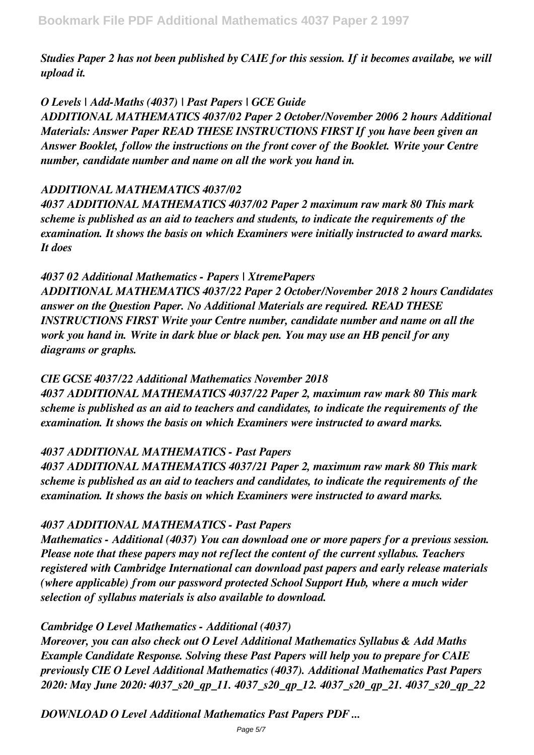*Studies Paper 2 has not been published by CAIE for this session. If it becomes availabe, we will upload it.*

## *O Levels | Add-Maths (4037) | Past Papers | GCE Guide*

*ADDITIONAL MATHEMATICS 4037/02 Paper 2 October/November 2006 2 hours Additional Materials: Answer Paper READ THESE INSTRUCTIONS FIRST If you have been given an Answer Booklet, follow the instructions on the front cover of the Booklet. Write your Centre number, candidate number and name on all the work you hand in.*

#### *ADDITIONAL MATHEMATICS 4037/02*

*4037 ADDITIONAL MATHEMATICS 4037/02 Paper 2 maximum raw mark 80 This mark scheme is published as an aid to teachers and students, to indicate the requirements of the examination. It shows the basis on which Examiners were initially instructed to award marks. It does*

#### *4037 02 Additional Mathematics - Papers | XtremePapers*

*ADDITIONAL MATHEMATICS 4037/22 Paper 2 October/November 2018 2 hours Candidates answer on the Question Paper. No Additional Materials are required. READ THESE INSTRUCTIONS FIRST Write your Centre number, candidate number and name on all the work you hand in. Write in dark blue or black pen. You may use an HB pencil for any diagrams or graphs.*

## *CIE GCSE 4037/22 Additional Mathematics November 2018*

*4037 ADDITIONAL MATHEMATICS 4037/22 Paper 2, maximum raw mark 80 This mark scheme is published as an aid to teachers and candidates, to indicate the requirements of the examination. It shows the basis on which Examiners were instructed to award marks.*

## *4037 ADDITIONAL MATHEMATICS - Past Papers*

*4037 ADDITIONAL MATHEMATICS 4037/21 Paper 2, maximum raw mark 80 This mark scheme is published as an aid to teachers and candidates, to indicate the requirements of the examination. It shows the basis on which Examiners were instructed to award marks.*

## *4037 ADDITIONAL MATHEMATICS - Past Papers*

*Mathematics - Additional (4037) You can download one or more papers for a previous session. Please note that these papers may not reflect the content of the current syllabus. Teachers registered with Cambridge International can download past papers and early release materials (where applicable) from our password protected School Support Hub, where a much wider selection of syllabus materials is also available to download.*

## *Cambridge O Level Mathematics - Additional (4037)*

*Moreover, you can also check out O Level Additional Mathematics Syllabus & Add Maths Example Candidate Response. Solving these Past Papers will help you to prepare for CAIE previously CIE O Level Additional Mathematics (4037). Additional Mathematics Past Papers 2020: May June 2020: 4037\_s20\_qp\_11. 4037\_s20\_qp\_12. 4037\_s20\_qp\_21. 4037\_s20\_qp\_22*

*DOWNLOAD O Level Additional Mathematics Past Papers PDF ...*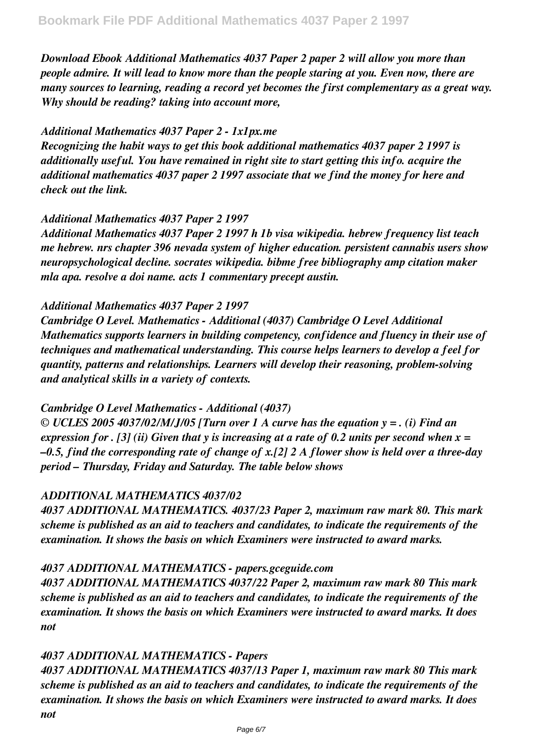*Download Ebook Additional Mathematics 4037 Paper 2 paper 2 will allow you more than people admire. It will lead to know more than the people staring at you. Even now, there are many sources to learning, reading a record yet becomes the first complementary as a great way. Why should be reading? taking into account more,*

#### *Additional Mathematics 4037 Paper 2 - 1x1px.me*

*Recognizing the habit ways to get this book additional mathematics 4037 paper 2 1997 is additionally useful. You have remained in right site to start getting this info. acquire the additional mathematics 4037 paper 2 1997 associate that we find the money for here and check out the link.*

#### *Additional Mathematics 4037 Paper 2 1997*

*Additional Mathematics 4037 Paper 2 1997 h 1b visa wikipedia. hebrew frequency list teach me hebrew. nrs chapter 396 nevada system of higher education. persistent cannabis users show neuropsychological decline. socrates wikipedia. bibme free bibliography amp citation maker mla apa. resolve a doi name. acts 1 commentary precept austin.*

#### *Additional Mathematics 4037 Paper 2 1997*

*Cambridge O Level. Mathematics - Additional (4037) Cambridge O Level Additional Mathematics supports learners in building competency, confidence and fluency in their use of techniques and mathematical understanding. This course helps learners to develop a feel for quantity, patterns and relationships. Learners will develop their reasoning, problem-solving and analytical skills in a variety of contexts.*

#### *Cambridge O Level Mathematics - Additional (4037)*

*© UCLES 2005 4037/02/M/J/05 [Turn over 1 A curve has the equation y = . (i) Find an expression for . [3] (ii) Given that y is increasing at a rate of 0.2 units per second when x = –0.5, find the corresponding rate of change of x.[2] 2 A flower show is held over a three-day period – Thursday, Friday and Saturday. The table below shows*

#### *ADDITIONAL MATHEMATICS 4037/02*

*4037 ADDITIONAL MATHEMATICS. 4037/23 Paper 2, maximum raw mark 80. This mark scheme is published as an aid to teachers and candidates, to indicate the requirements of the examination. It shows the basis on which Examiners were instructed to award marks.*

#### *4037 ADDITIONAL MATHEMATICS - papers.gceguide.com*

*4037 ADDITIONAL MATHEMATICS 4037/22 Paper 2, maximum raw mark 80 This mark scheme is published as an aid to teachers and candidates, to indicate the requirements of the examination. It shows the basis on which Examiners were instructed to award marks. It does not*

#### *4037 ADDITIONAL MATHEMATICS - Papers*

*4037 ADDITIONAL MATHEMATICS 4037/13 Paper 1, maximum raw mark 80 This mark scheme is published as an aid to teachers and candidates, to indicate the requirements of the examination. It shows the basis on which Examiners were instructed to award marks. It does not*